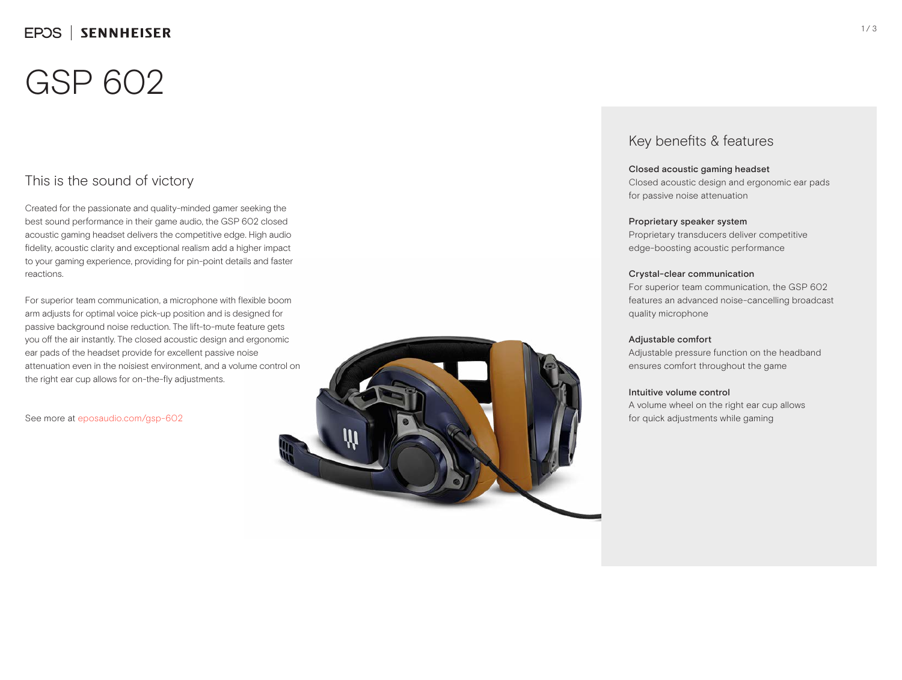# GSP 602

## This is the sound of victory

Created for the passionate and quality-minded gamer seeking the best sound performance in their game audio, the GSP 602 closed acoustic gaming headset delivers the competitive edge. High audio fidelity, acoustic clarity and exceptional realism add a higher impact to your gaming experience, providing for pin-point details and faster reactions.

For superior team communication, a microphone with flexible boom arm adjusts for optimal voice pick-up position and is designed for passive background noise reduction. The lift-to-mute feature gets you off the air instantly. The closed acoustic design and ergonomic ear pads of the headset provide for excellent passive noise attenuation even in the noisiest environment, and a volume control on the right ear cup allows for on-the-fly adjustments.

See more at eposaudio.com/gsp-602



### Key benefits & features

### Closed acoustic gaming headset

Closed acoustic design and ergonomic ear pads for passive noise attenuation

### Proprietary speaker system

Proprietary transducers deliver competitive edge-boosting acoustic performance

### Crystal-clear communication

For superior team communication, the GSP 602 features an advanced noise-cancelling broadcast quality microphone

### Adjustable comfort

Adjustable pressure function on the headband ensures comfort throughout the game

#### Intuitive volume control

A volume wheel on the right ear cup allows for quick adjustments while gaming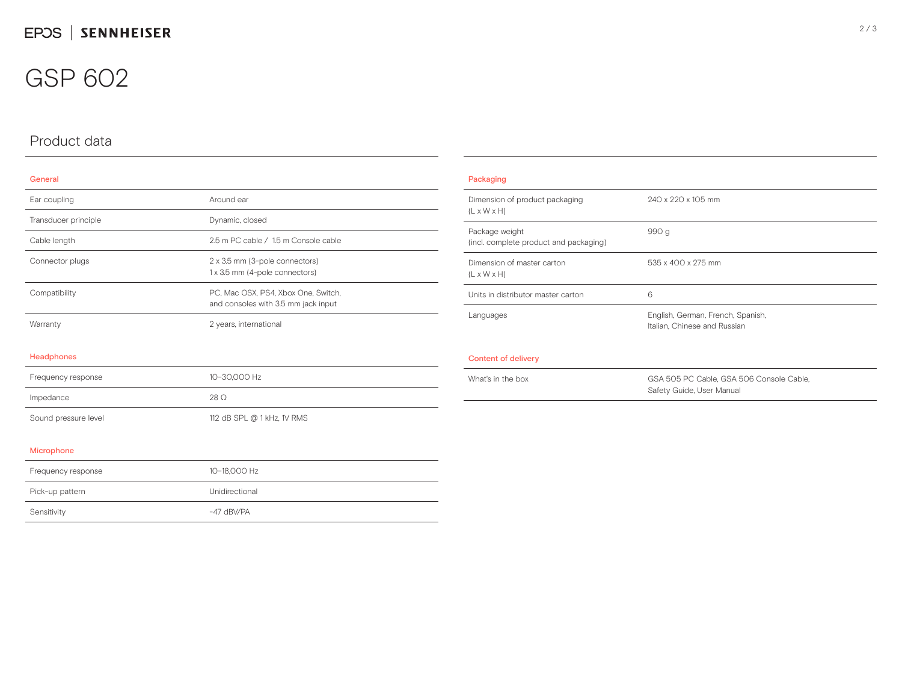## GSP 602

## Product data

### General

| Ear coupling         | Around ear                                                                 |  |
|----------------------|----------------------------------------------------------------------------|--|
| Transducer principle | Dynamic, closed                                                            |  |
| Cable length         | 2.5 m PC cable / 1.5 m Console cable                                       |  |
| Connector plugs      | 2 x 3.5 mm (3-pole connectors)<br>1 x 3.5 mm (4-pole connectors)           |  |
| Compatibility        | PC, Mac OSX, PS4, Xbox One, Switch,<br>and consoles with 3.5 mm jack input |  |
| Warranty             | 2 years, international                                                     |  |
| Headphones           |                                                                            |  |
| Frequency response   | 10-30,000 Hz                                                               |  |
| Impedance            | 28 O                                                                       |  |
| Sound pressure level | 112 dB SPL @ 1 kHz, 1V RMS                                                 |  |

### Packaging Dimension of product packaging  $(L \times W \times H)$ 240 x 220 x 105 mm Package weight (incl. complete product and packaging) 990 g Dimension of master carton (L x W x H) 535 x 400 x 275 mm Units in distributor master carton 6 Languages English, German, French, Spanish, Italian, Chinese and Russian Content of delivery What's in the box GSA 505 PC Cable, GSA 506 Console Cable, GSA 506 Console Cable, GSA 506 Console Cable, Safety Guide, User Manual

### Microphone

| Frequency response | 10-18.000 Hz   |
|--------------------|----------------|
| Pick-up pattern    | Unidirectional |
| Sensitivity        | $-47$ dBV/PA   |